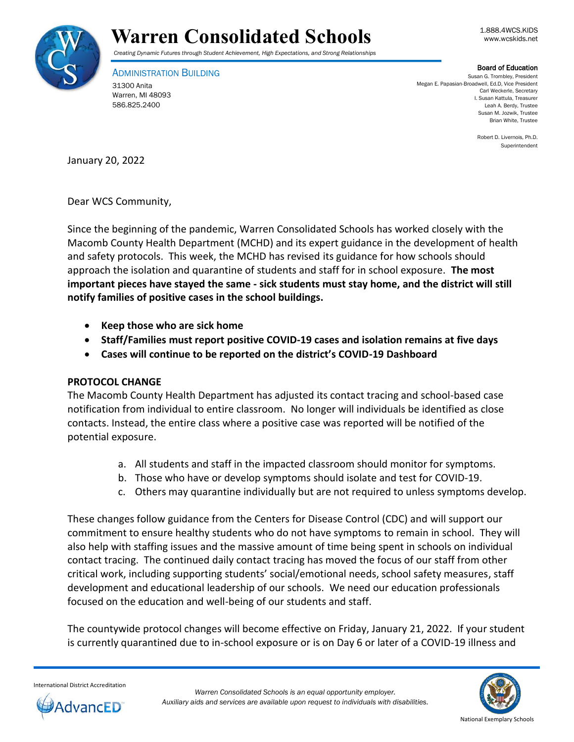



## Warren Consolidated Schools **Warren** Consolidated Schools

*Creating Dynamic Futures through Student Achievement, High Expectations, and Strong Relationships*

ADMINISTRATION BUILDING 31300 Anita Warren, MI 48093 586.825.2400

## Board of Education

Susan G. Trombley, President Megan E. Papasian-Broadwell, Ed.D, Vice President Carl Weckerle, Secretary I. Susan Kattula, Treasurer Leah A. Berdy, Trustee Susan M. Jozwik, Trustee Brian White, Trustee

> Robert D. Livernois, Ph.D. Superintendent

January 20, 2022

Dear WCS Community,

Since the beginning of the pandemic, Warren Consolidated Schools has worked closely with the Macomb County Health Department (MCHD) and its expert guidance in the development of health and safety protocols. This week, the MCHD has revised its guidance for how schools should approach the isolation and quarantine of students and staff for in school exposure. **The most important pieces have stayed the same - sick students must stay home, and the district will still notify families of positive cases in the school buildings.** 

- **•** Keep those who are sick home
- **Staff/Families must report positive COVID-19 cases and isolation remains at five days**
- **Cases will continue to be reported on the district's COVID-19 Dashboard**

## **PROTOCOL CHANGE**

The Macomb County Health Department has adjusted its contact tracing and school-based case notification from individual to entire classroom. No longer will individuals be identified as close contacts. Instead, the entire class where a positive case was reported will be notified of the potential exposure.

- a. All students and staff in the impacted classroom should monitor for symptoms.
- b. Those who have or develop symptoms should isolate and test for COVID-19.
- c. Others may quarantine individually but are not required to unless symptoms develop.

These changes follow guidance from the Centers for Disease Control (CDC) and will support our commitment to ensure healthy students who do not have symptoms to remain in school. They will also help with staffing issues and the massive amount of time being spent in schools on individual contact tracing. The continued daily contact tracing has moved the focus of our staff from other critical work, including supporting students' social/emotional needs, school safety measures, staff development and educational leadership of our schools. We need our education professionals focused on the education and well-being of our students and staff.

The countywide protocol changes will become effective on Friday, January 21, 2022. If your student is currently quarantined due to in-school exposure or is on Day 6 or later of a COVID-19 illness and

International District Accreditation



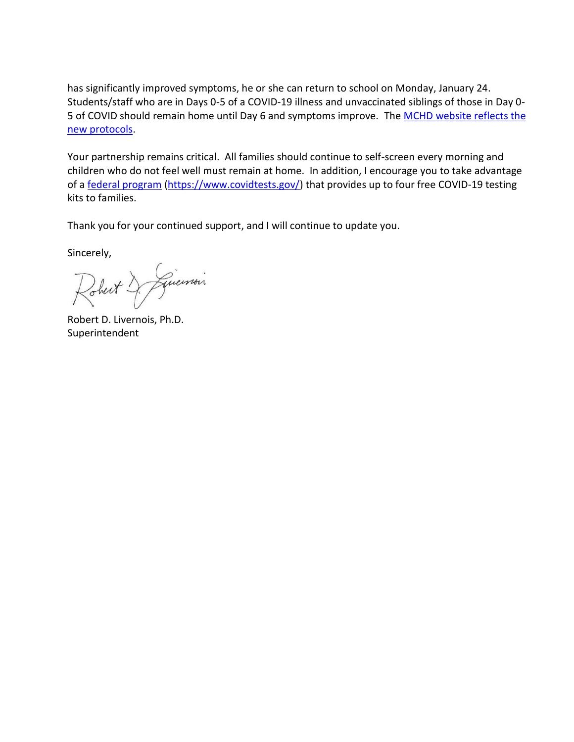has significantly improved symptoms, he or she can return to school on Monday, January 24. Students/staff who are in Days 0-5 of a COVID-19 illness and unvaccinated siblings of those in Day 0- 5 of COVID should remain home until Day 6 and symptoms improve. The MCHD website reflects the [new protocols.](https://health.macombgov.org/Covid19-ResourcesForSchools)

Your partnership remains critical. All families should continue to self-screen every morning and children who do not feel well must remain at home. In addition, I encourage you to take advantage of a [federal program](https://www.covidtests.gov/) [\(https://www.covidtests.gov/\)](https://www.covidtests.gov/) that provides up to four free COVID-19 testing kits to families.

Thank you for your continued support, and I will continue to update you.

Sincerely,

Robert & Linemain

Robert D. Livernois, Ph.D. Superintendent